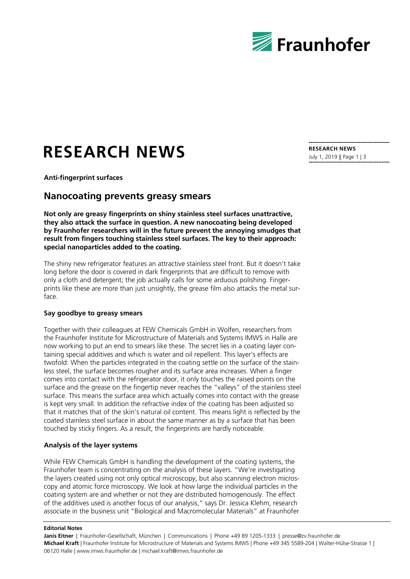

# **RESEARCH NEWS**

July 1, 2019 || Page 1 | 3

**RESEARCH NEWS**

**Anti-fingerprint surfaces**

# **Nanocoating prevents greasy smears**

**Not only are greasy fingerprints on shiny stainless steel surfaces unattractive, they also attack the surface in question. A new nanocoating being developed by Fraunhofer researchers will in the future prevent the annoying smudges that result from fingers touching stainless steel surfaces. The key to their approach: special nanoparticles added to the coating.**

The shiny new refrigerator features an attractive stainless steel front. But it doesn't take long before the door is covered in dark fingerprints that are difficult to remove with only a cloth and detergent; the job actually calls for some arduous polishing. Fingerprints like these are more than just unsightly, the grease film also attacks the metal surface.

### **Say goodbye to greasy smears**

Together with their colleagues at FEW Chemicals GmbH in Wolfen, researchers from the Fraunhofer Institute for Microstructure of Materials and Systems IMWS in Halle are now working to put an end to smears like these. The secret lies in a coating layer containing special additives and which is water and oil repellent. This layer's effects are twofold: When the particles integrated in the coating settle on the surface of the stainless steel, the surface becomes rougher and its surface area increases. When a finger comes into contact with the refrigerator door, it only touches the raised points on the surface and the grease on the fingertip never reaches the "valleys" of the stainless steel surface. This means the surface area which actually comes into contact with the grease is kept very small. In addition the refractive index of the coating has been adjusted so that it matches that of the skin's natural oil content. This means light is reflected by the coated stainless steel surface in about the same manner as by a surface that has been touched by sticky fingers. As a result, the fingerprints are hardly noticeable.

## **Analysis of the layer systems**

While FEW Chemicals GmbH is handling the development of the coating systems, the Fraunhofer team is concentrating on the analysis of these layers. "We're investigating the layers created using not only optical microscopy, but also scanning electron microscopy and atomic force microscopy. We look at how large the individual particles in the coating system are and whether or not they are distributed homogenously. The effect of the additives used is another focus of our analysis," says Dr. Jessica Klehm, research associate in the business unit "Biological and Macromolecular Materials" at Fraunhofer

#### **Editorial Notes**

Janis Eitner | Fraunhofer-Gesellschaft, München | Communications | Phone +49 89 1205-1333 | presse@zv.fraunhofer.de **Michael Kraft** | Fraunhofer Institute for Microstructure of Materials and Systems IMWS | Phone +49 345 5589-204 | Walter-Hülse-Strasse 1 | 06120 Halle | www.imws.fraunhofer.de | michael.kraft@imws.fraunhofer.de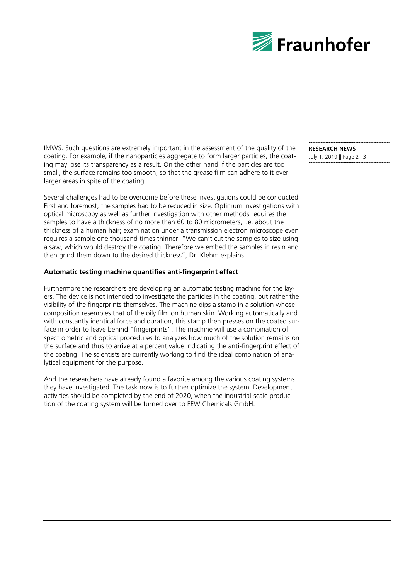

IMWS. Such questions are extremely important in the assessment of the quality of the coating. For example, if the nanoparticles aggregate to form larger particles, the coating may lose its transparency as a result. On the other hand if the particles are too small, the surface remains too smooth, so that the grease film can adhere to it over larger areas in spite of the coating.

Several challenges had to be overcome before these investigations could be conducted. First and foremost, the samples had to be recuced in size. Optimum investigations with optical microscopy as well as further investigation with other methods requires the samples to have a thickness of no more than 60 to 80 micrometers, i.e. about the thickness of a human hair; examination under a transmission electron microscope even requires a sample one thousand times thinner. "We can't cut the samples to size using a saw, which would destroy the coating. Therefore we embed the samples in resin and then grind them down to the desired thickness", Dr. Klehm explains.

### **Automatic testing machine quantifies anti-fingerprint effect**

Furthermore the researchers are developing an automatic testing machine for the layers. The device is not intended to investigate the particles in the coating, but rather the visibility of the fingerprints themselves. The machine dips a stamp in a solution whose composition resembles that of the oily film on human skin. Working automatically and with constantly identical force and duration, this stamp then presses on the coated surface in order to leave behind "fingerprints". The machine will use a combination of spectrometric and optical procedures to analyzes how much of the solution remains on the surface and thus to arrive at a percent value indicating the anti-fingerprint effect of the coating. The scientists are currently working to find the ideal combination of analytical equipment for the purpose.

And the researchers have already found a favorite among the various coating systems they have investigated. The task now is to further optimize the system. Development activities should be completed by the end of 2020, when the industrial-scale production of the coating system will be turned over to FEW Chemicals GmbH.

**RESEARCH NEWS** July 1, 2019 || Page 2 | 3